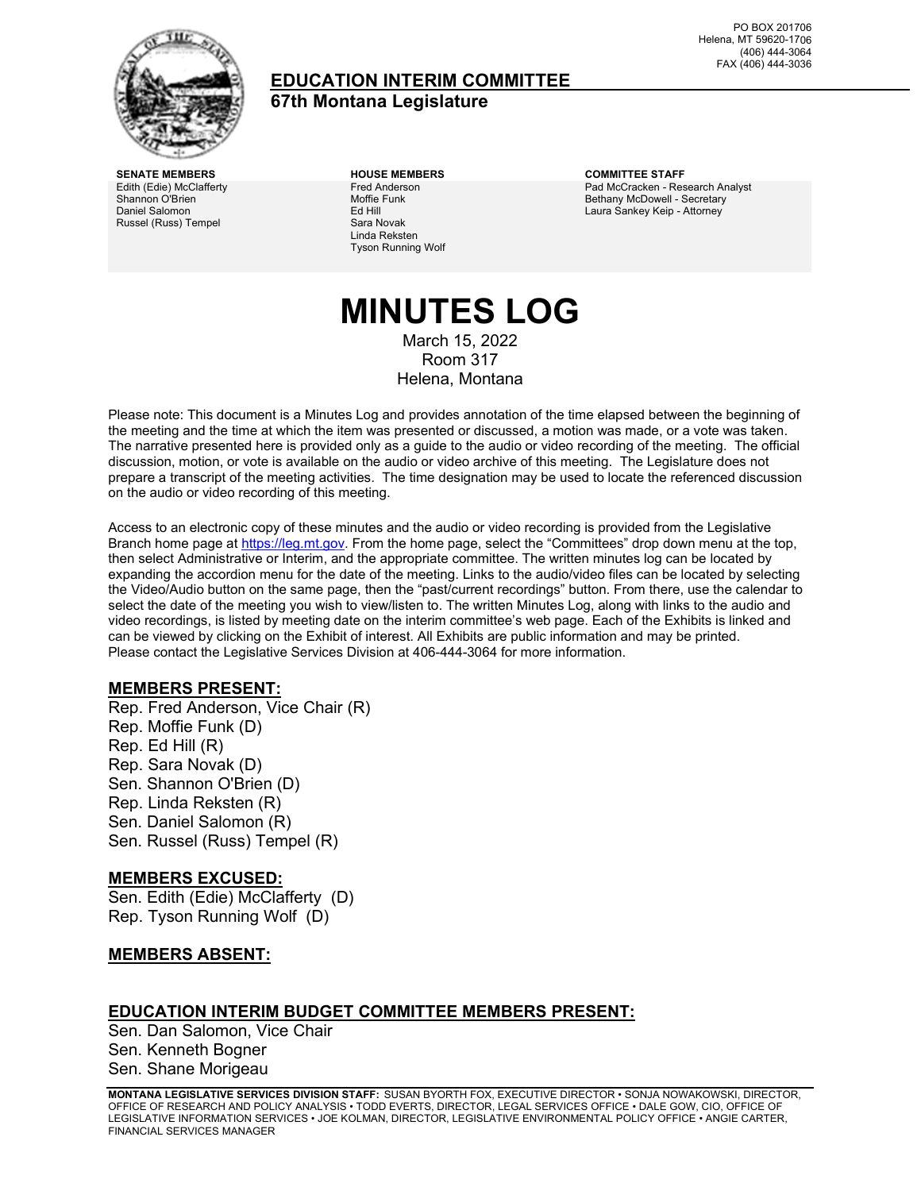

### **EDUCATION INTERIM COMMITTEE 67th Montana Legislature**

PO BOX 201706 Helena, MT 59620-1706 (406) 444-3064 FAX (406) 444-3036

Edith (Edie) McClafferty Shannon O'Brien Daniel Salomon Russel (Russ) Tempel

Fred Anderson Moffie Funk Ed Hill Sara Novak Linda Reksten Tyson Running Wolf

**SENATE MEMBERS HOUSE MEMBERS COMMITTEE STAFF** Pad McCracken - Research Analyst Bethany McDowell - Secretary Laura Sankey Keip - Attorney

### **MINUTES LOG** March 15, 2022 Room 317

Helena, Montana

Please note: This document is a Minutes Log and provides annotation of the time elapsed between the beginning of the meeting and the time at which the item was presented or discussed, a motion was made, or a vote was taken. The narrative presented here is provided only as a guide to the audio or video recording of the meeting. The official discussion, motion, or vote is available on the audio or video archive of this meeting. The Legislature does not prepare a transcript of the meeting activities. The time designation may be used to locate the referenced discussion on the audio or video recording of this meeting.

Access to an electronic copy of these minutes and the audio or video recording is provided from the Legislative Branch home page a[t https://leg.mt.gov.](http://legmt.gov/) From the home page, select the "Committees" drop down menu at the top, then select Administrative or Interim, and the appropriate committee. The written minutes log can be located by expanding the accordion menu for the date of the meeting. Links to the audio/video files can be located by selecting the Video/Audio button on the same page, then the "past/current recordings" button. From there, use the calendar to select the date of the meeting you wish to view/listen to. The written Minutes Log, along with links to the audio and video recordings, is listed by meeting date on the interim committee's web page. Each of the Exhibits is linked and can be viewed by clicking on the Exhibit of interest. All Exhibits are public information and may be printed. Please contact the Legislative Services Division at 406-444-3064 for more information.

### **MEMBERS PRESENT:**

Rep. Fred Anderson, Vice Chair (R) Rep. Moffie Funk (D) Rep. Ed Hill (R) Rep. Sara Novak (D) Sen. Shannon O'Brien (D) Rep. Linda Reksten (R) Sen. Daniel Salomon (R) Sen. Russel (Russ) Tempel (R)

### **MEMBERS EXCUSED:**

Sen. Edith (Edie) McClafferty (D) Rep. Tyson Running Wolf (D)

### **MEMBERS ABSENT:**

### **EDUCATION INTERIM BUDGET COMMITTEE MEMBERS PRESENT:**

Sen. Dan Salomon, Vice Chair Sen. Kenneth Bogner Sen. Shane Morigeau

**MONTANA LEGISLATIVE SERVICES DIVISION STAFF:** SUSAN BYORTH FOX, EXECUTIVE DIRECTOR • SONJA NOWAKOWSKI, DIRECTOR, OFFICE OF RESEARCH AND POLICY ANALYSIS • TODD EVERTS, DIRECTOR, LEGAL SERVICES OFFICE • DALE GOW, CIO, OFFICE OF LEGISLATIVE INFORMATION SERVICES • JOE KOLMAN, DIRECTOR, LEGISLATIVE ENVIRONMENTAL POLICY OFFICE • ANGIE CARTER, FINANCIAL SERVICES MANAGER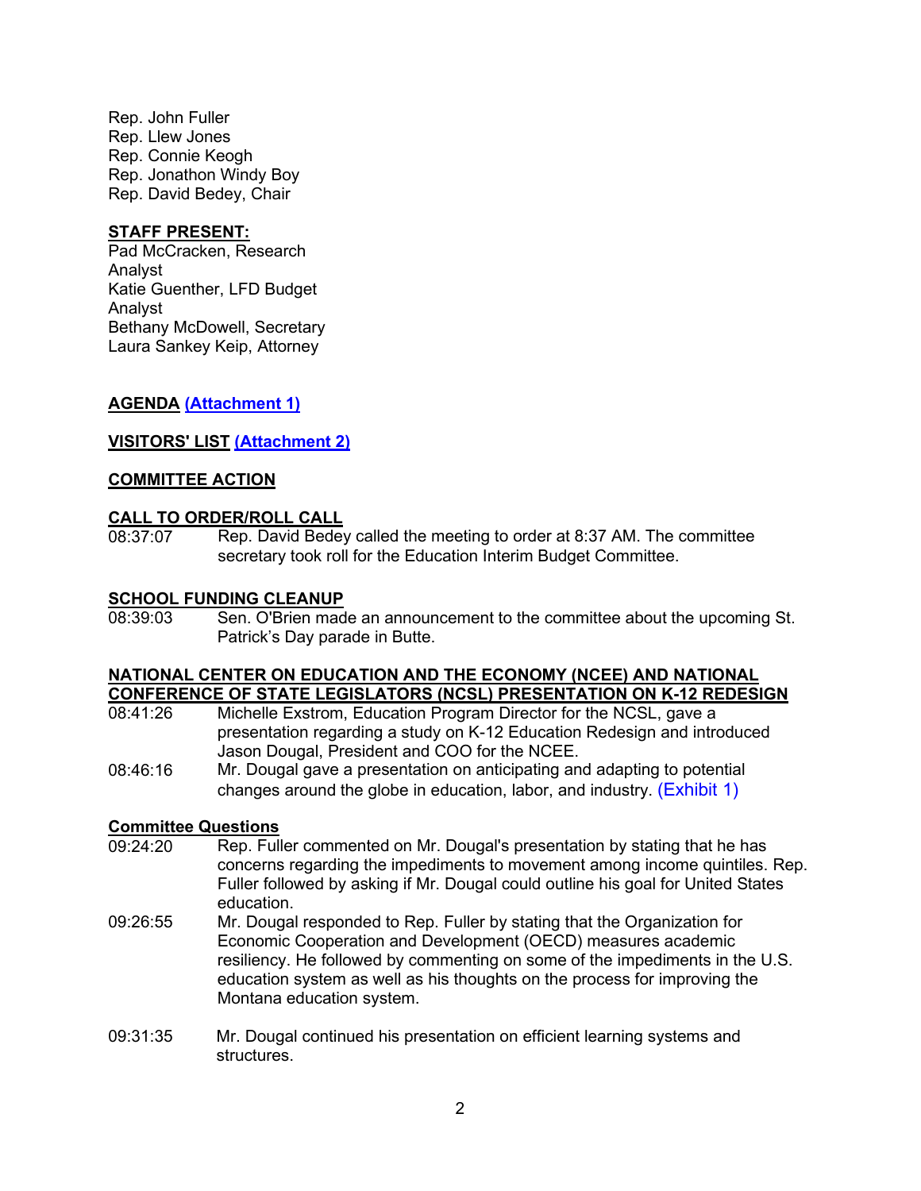Rep. John Fuller Rep. Llew Jones Rep. Connie Keogh Rep. Jonathon Windy Boy Rep. David Bedey, Chair

### **STAFF PRESENT:**

Pad McCracken, Research Analyst Katie Guenther, LFD Budget Analyst Bethany McDowell, Secretary Laura Sankey Keip, Attorney

### **AGENDA [\(Attachment 1\)](https://leg.mt.gov/content/Committees/Interim/2021-2022/Education/Meetings/March-2022/March-2022-FINAL-agenda.pdf)**

### **VISITORS' LIST [\(Attachment 2\)](https://leg.mt.gov/content/Committees/Interim/2021-2022/Education/Meetings/March-2022/ATT_2_2.pdf)**

### **COMMITTEE ACTION**

### **CALL TO ORDER/ROLL CALL**

08:37:07 Rep. David Bedey called the meeting to order at 8:37 AM. The committee secretary took roll for the Education Interim Budget Committee.

#### **SCHOOL FUNDING CLEANUP**

08:39:03 Sen. O'Brien made an announcement to the committee about the upcoming St. Patrick's Day parade in Butte.

#### **NATIONAL CENTER ON EDUCATION AND THE ECONOMY (NCEE) AND NATIONAL CONFERENCE OF STATE LEGISLATORS (NCSL) PRESENTATION ON K-12 REDESIGN**

- 08:41:26 Michelle Exstrom, Education Program Director for the NCSL, gave a presentation regarding a study on K-12 Education Redesign and introduced Jason Dougal, President and COO for the NCEE.
- 08:46:16 Mr. Dougal gave a presentation on anticipating and adapting to potential changes around the globe in education, labor, and industry.  $(Exhibit 1)$

# **Committee Questions**<br>09:24:20 Rep. Full

- Rep. Fuller commented on Mr. Dougal's presentation by stating that he has concerns regarding the impediments to movement among income quintiles. Rep. Fuller followed by asking if Mr. Dougal could outline his goal for United States education.
- 09:26:55 Mr. Dougal responded to Rep. Fuller by stating that the Organization for Economic Cooperation and Development (OECD) measures academic resiliency. He followed by commenting on some of the impediments in the U.S. education system as well as his thoughts on the process for improving the Montana education system.
- 09:31:35 Mr. Dougal continued his presentation on efficient learning systems and structures.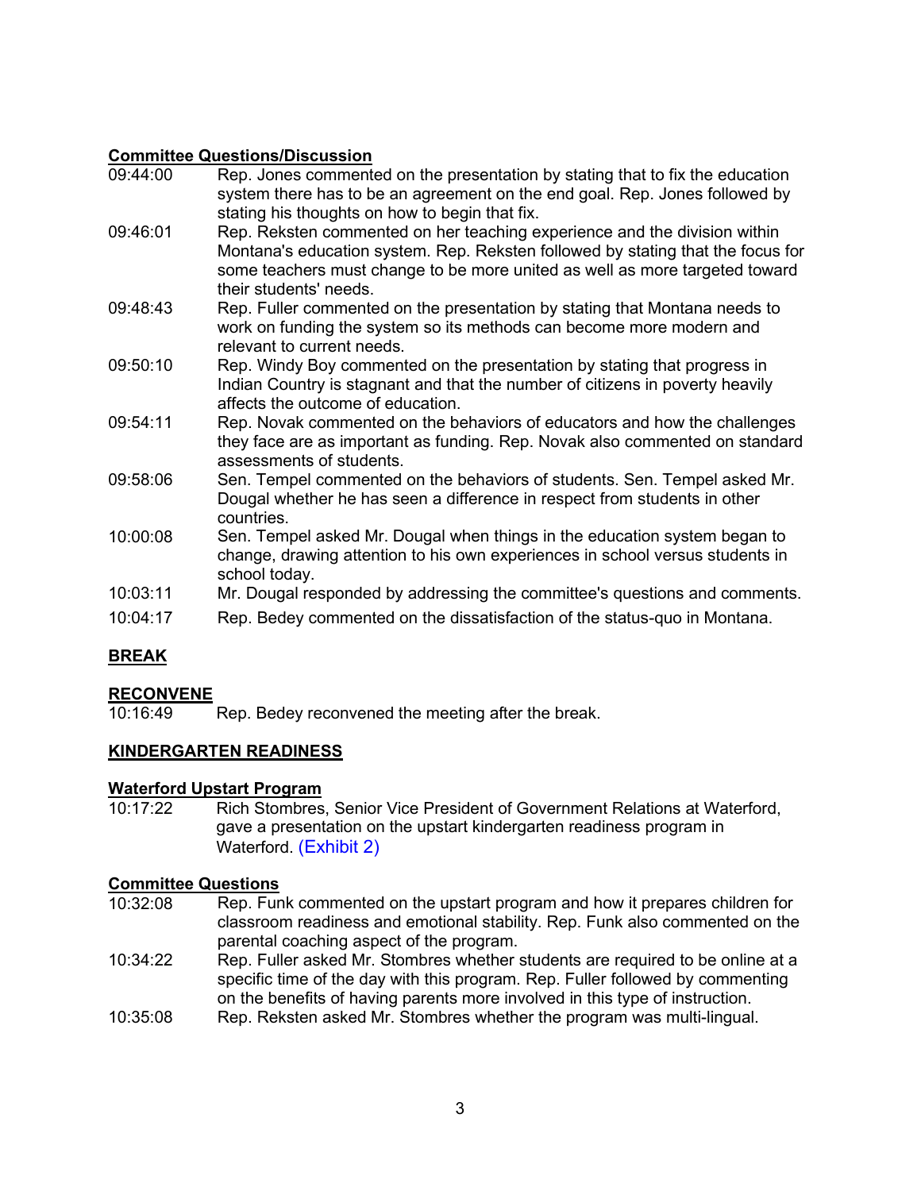# **Committee Questions/Discussion**<br>09:44:00 Rep. Jones comments

- Rep. Jones commented on the presentation by stating that to fix the education system there has to be an agreement on the end goal. Rep. Jones followed by stating his thoughts on how to begin that fix.
- 09:46:01 Rep. Reksten commented on her teaching experience and the division within Montana's education system. Rep. Reksten followed by stating that the focus for some teachers must change to be more united as well as more targeted toward their students' needs.
- 09:48:43 Rep. Fuller commented on the presentation by stating that Montana needs to work on funding the system so its methods can become more modern and relevant to current needs.
- 09:50:10 Rep. Windy Boy commented on the presentation by stating that progress in Indian Country is stagnant and that the number of citizens in poverty heavily affects the outcome of education.
- 09:54:11 Rep. Novak commented on the behaviors of educators and how the challenges they face are as important as funding. Rep. Novak also commented on standard assessments of students.
- 09:58:06 Sen. Tempel commented on the behaviors of students. Sen. Tempel asked Mr. Dougal whether he has seen a difference in respect from students in other countries.
- 10:00:08 Sen. Tempel asked Mr. Dougal when things in the education system began to change, drawing attention to his own experiences in school versus students in school today.
- 10:03:11 Mr. Dougal responded by addressing the committee's questions and comments.
- 10:04:17 Rep. Bedey commented on the dissatisfaction of the status-quo in Montana.

### **BREAK**

# **RECONVENE**<br>10:16:49

Rep. Bedey reconvened the meeting after the break.

### **KINDERGARTEN READINESS**

### **Waterford Upstart Program**

10:17:22 Rich Stombres, Senior Vice President of Government Relations at Waterford, gave a presentation on the upstart kindergarten readiness program in Waterford. [\(Exhibit 2\)](https://leg.mt.gov/content/Committees/Interim/2021-2022/Education/Meetings/March-2022/Fact-Sheet-Upstart.pdf) 

# **Committee Questions**<br>10:32:08 Rep. Fur

- Rep. Funk commented on the upstart program and how it prepares children for classroom readiness and emotional stability. Rep. Funk also commented on the parental coaching aspect of the program.
- 10:34:22 Rep. Fuller asked Mr. Stombres whether students are required to be online at a specific time of the day with this program. Rep. Fuller followed by commenting on the benefits of having parents more involved in this type of instruction.
- 10:35:08 Rep. Reksten asked Mr. Stombres whether the program was multi-lingual.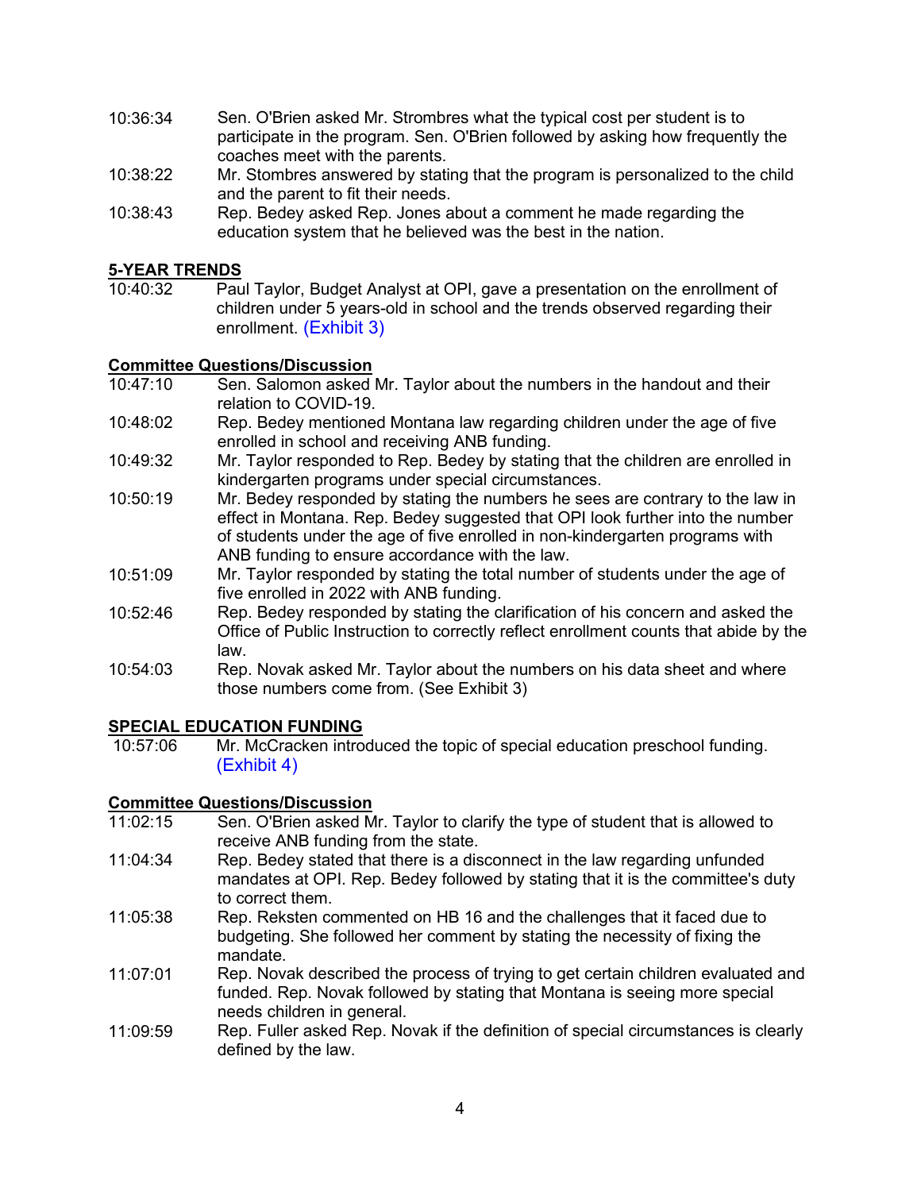- 10:36:34 Sen. O'Brien asked Mr. Strombres what the typical cost per student is to participate in the program. Sen. O'Brien followed by asking how frequently the coaches meet with the parents.
- 10:38:22 Mr. Stombres answered by stating that the program is personalized to the child and the parent to fit their needs.
- 10:38:43 Rep. Bedey asked Rep. Jones about a comment he made regarding the education system that he believed was the best in the nation.

# **<u>5-YEAR TRENDS</u>**<br>10:40:32 Pau

Paul Taylor, Budget Analyst at OPI, gave a presentation on the enrollment of children under 5 years-old in school and the trends observed regarding their enrollment. [\(Exhibit](https://leg.mt.gov/content/Committees/Interim/2021-2022/Education/Meetings/March-2022/Combined_for_ex_3.pdf) 3)

### **Committee Questions/Discussion**<br>10:47:10 **Sen. Salomon asked**

- Sen. Salomon asked Mr. Taylor about the numbers in the handout and their relation to COVID-19.
- 10:48:02 Rep. Bedey mentioned Montana law regarding children under the age of five enrolled in school and receiving ANB funding.
- 10:49:32 Mr. Taylor responded to Rep. Bedey by stating that the children are enrolled in kindergarten programs under special circumstances.
- 10:50:19 Mr. Bedey responded by stating the numbers he sees are contrary to the law in effect in Montana. Rep. Bedey suggested that OPI look further into the number of students under the age of five enrolled in non-kindergarten programs with ANB funding to ensure accordance with the law.
- 10:51:09 Mr. Taylor responded by stating the total number of students under the age of five enrolled in 2022 with ANB funding.
- 10:52:46 Rep. Bedey responded by stating the clarification of his concern and asked the Office of Public Instruction to correctly reflect enrollment counts that abide by the law.
- 10:54:03 Rep. Novak asked Mr. Taylor about the numbers on his data sheet and where those numbers come from. (See Exhibit 3)

# **SPECIAL EDUCATION FUNDING**<br>10:57:06 Mr. McCracken intro

Mr. McCracken introduced the topic of special education preschool funding. [\(Exhibit 4\)](https://leg.mt.gov/content/Committees/Interim/2021-2022/Education/Meetings/March-2022/Combined_files_for_ex-4.pdf) 

### **Committee Questions/Discussion**

- 11:02:15 Sen. O'Brien asked Mr. Taylor to clarify the type of student that is allowed to receive ANB funding from the state.
- 11:04:34 Rep. Bedey stated that there is a disconnect in the law regarding unfunded mandates at OPI. Rep. Bedey followed by stating that it is the committee's duty to correct them.
- 11:05:38 Rep. Reksten commented on HB 16 and the challenges that it faced due to budgeting. She followed her comment by stating the necessity of fixing the mandate.
- 11:07:01 Rep. Novak described the process of trying to get certain children evaluated and funded. Rep. Novak followed by stating that Montana is seeing more special needs children in general.
- 11:09:59 Rep. Fuller asked Rep. Novak if the definition of special circumstances is clearly defined by the law.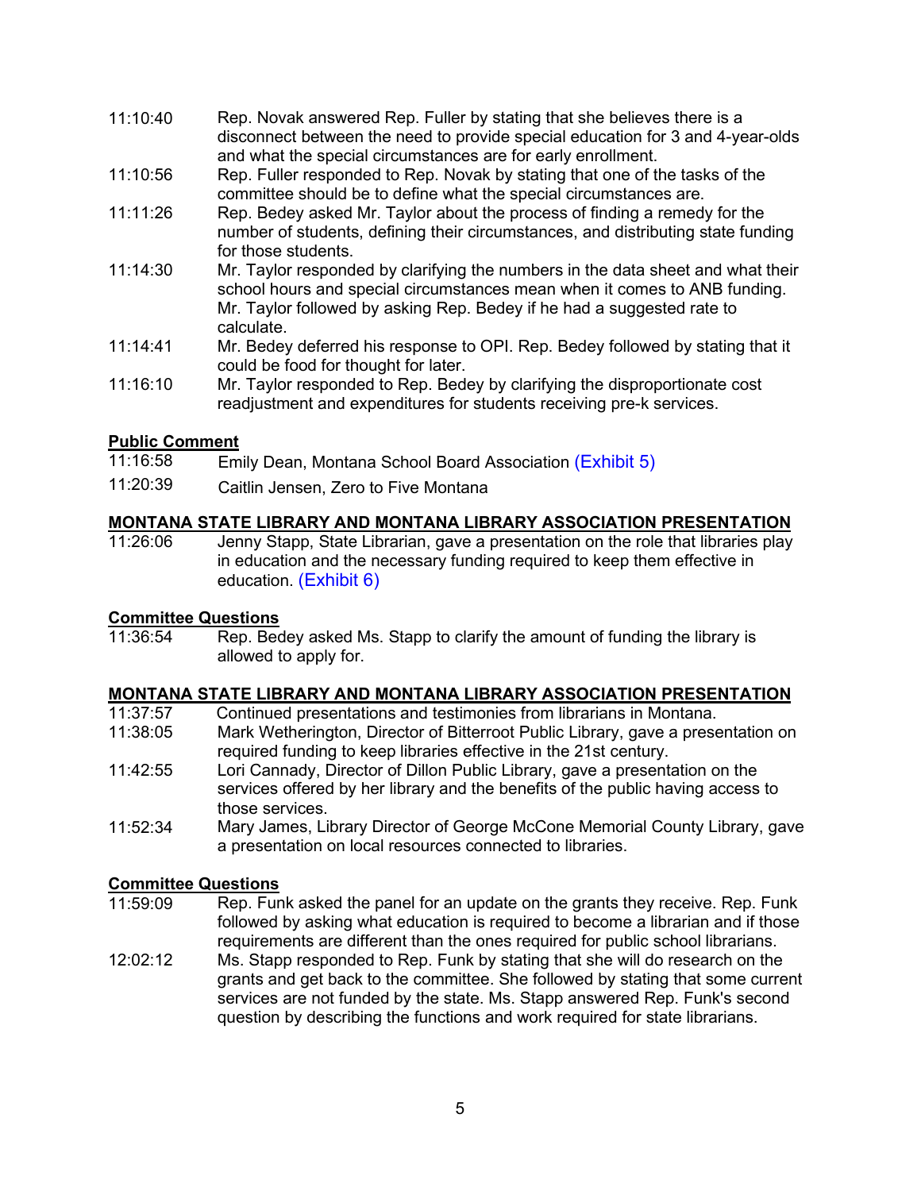- 11:10:40 Rep. Novak answered Rep. Fuller by stating that she believes there is a disconnect between the need to provide special education for 3 and 4-year-olds and what the special circumstances are for early enrollment.
- 11:10:56 Rep. Fuller responded to Rep. Novak by stating that one of the tasks of the committee should be to define what the special circumstances are.
- 11:11:26 Rep. Bedey asked Mr. Taylor about the process of finding a remedy for the number of students, defining their circumstances, and distributing state funding for those students.
- 11:14:30 Mr. Taylor responded by clarifying the numbers in the data sheet and what their school hours and special circumstances mean when it comes to ANB funding. Mr. Taylor followed by asking Rep. Bedey if he had a suggested rate to calculate.
- 11:14:41 Mr. Bedey deferred his response to OPI. Rep. Bedey followed by stating that it could be food for thought for later.
- 11:16:10 Mr. Taylor responded to Rep. Bedey by clarifying the disproportionate cost readjustment and expenditures for students receiving pre-k services.

### **Public Comment**

- 11:16:58 Emily Dean, Montana School Board Association [\(Exhibit 5\)](https://leg.mt.gov/content/Committees/Interim/2021-2022/Education/Meetings/March-2022/EXHIBIT_11.pdf)
- 11:20:39 Caitlin Jensen, Zero to Five Montana

### **MONTANA STATE LIBRARY AND MONTANA LIBRARY ASSOCIATION PRESENTATION**

11:26:06 Jenny Stapp, State Librarian, gave a presentation on the role that libraries play in education and the necessary funding required to keep them effective in education. [\(Exhibit](https://leg.mt.gov/content/Committees/Interim/2021-2022/Education/Meetings/March-2022/Exhibit_6.pdf) 6)

# **Committee Questions**

Rep. Bedey asked Ms. Stapp to clarify the amount of funding the library is allowed to apply for.

# **MONTANA STATE LIBRARY AND MONTANA LIBRARY ASSOCIATION PRESENTATION**

- Continued presentations and testimonies from librarians in Montana.
- 11:38:05 Mark Wetherington, Director of Bitterroot Public Library, gave a presentation on required funding to keep libraries effective in the 21st century.
- 11:42:55 Lori Cannady, Director of Dillon Public Library, gave a presentation on the services offered by her library and the benefits of the public having access to those services.
- 11:52:34 Mary James, Library Director of George McCone Memorial County Library, gave a presentation on local resources connected to libraries.

# **Committee Questions**<br>11:59:09 Rep. Fur

- Rep. Funk asked the panel for an update on the grants they receive. Rep. Funk followed by asking what education is required to become a librarian and if those requirements are different than the ones required for public school librarians.
- 12:02:12 Ms. Stapp responded to Rep. Funk by stating that she will do research on the grants and get back to the committee. She followed by stating that some current services are not funded by the state. Ms. Stapp answered Rep. Funk's second question by describing the functions and work required for state librarians.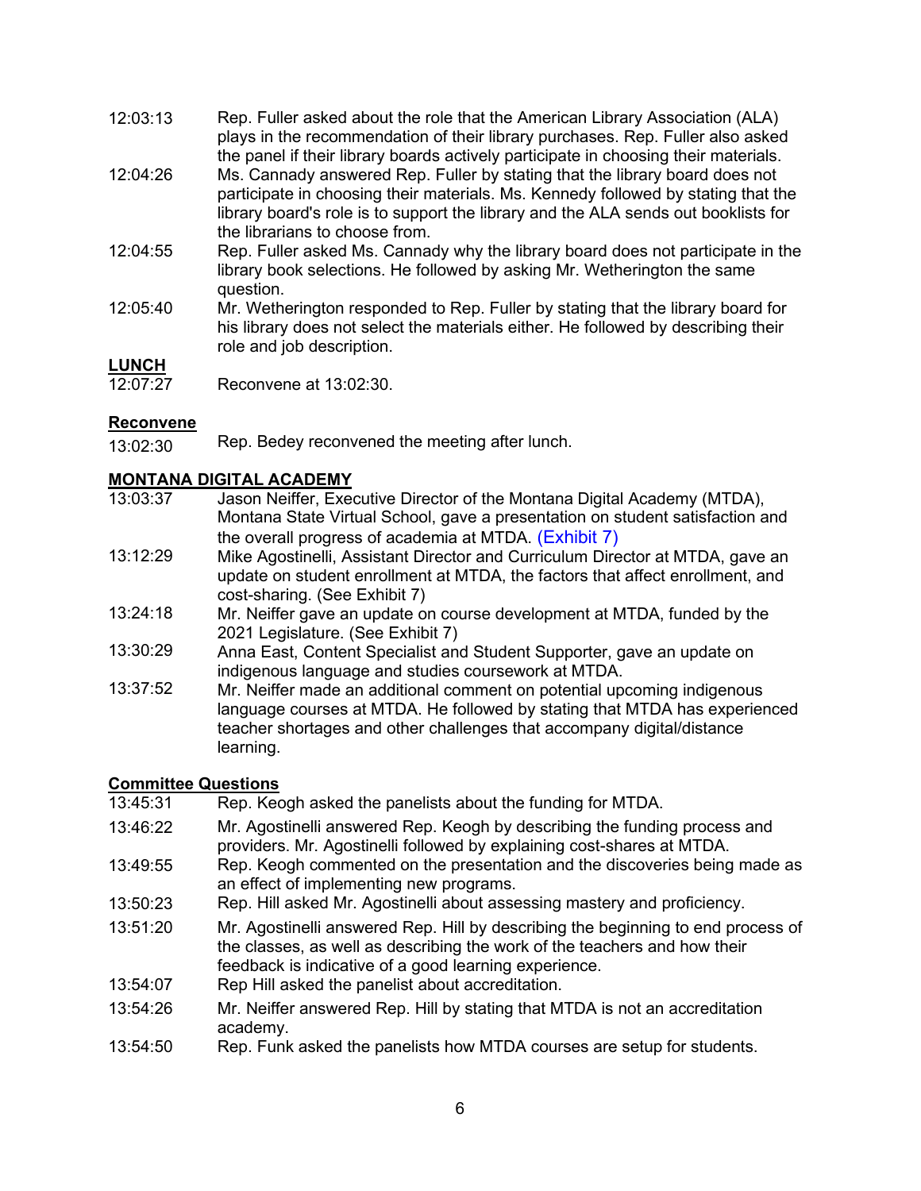- 12:03:13 Rep. Fuller asked about the role that the American Library Association (ALA) plays in the recommendation of their library purchases. Rep. Fuller also asked the panel if their library boards actively participate in choosing their materials.
- 12:04:26 Ms. Cannady answered Rep. Fuller by stating that the library board does not participate in choosing their materials. Ms. Kennedy followed by stating that the library board's role is to support the library and the ALA sends out booklists for the librarians to choose from.
- 12:04:55 Rep. Fuller asked Ms. Cannady why the library board does not participate in the library book selections. He followed by asking Mr. Wetherington the same question.
- 12:05:40 Mr. Wetherington responded to Rep. Fuller by stating that the library board for his library does not select the materials either. He followed by describing their role and job description.

### **LUNCH**

12:07:27 Reconvene at 13:02:30.

### **Reconvene**

13:02:30 Rep. Bedey reconvened the meeting after lunch.

### **MONTANA DIGITAL ACADEMY**

- 13:03:37 Jason Neiffer, Executive Director of the Montana Digital Academy (MTDA), Montana State Virtual School, gave a presentation on student satisfaction and the overall progress of academia at MTDA. [\(Exhibit 7\)](https://leg.mt.gov/content/Committees/Interim/2021-2022/Education/Meetings/March-2022/MTDA-update-March-2022.pdf)
- 13:12:29 Mike Agostinelli, Assistant Director and Curriculum Director at MTDA, gave an update on student enrollment at MTDA, the factors that affect enrollment, and cost-sharing. (See Exhibit 7)
- 13:24:18 Mr. Neiffer gave an update on course development at MTDA, funded by the 2021 Legislature. (See Exhibit 7)
- 13:30:29 Anna East, Content Specialist and Student Supporter, gave an update on indigenous language and studies coursework at MTDA.
- 13:37:52 Mr. Neiffer made an additional comment on potential upcoming indigenous language courses at MTDA. He followed by stating that MTDA has experienced teacher shortages and other challenges that accompany digital/distance learning.

### **Committee Questions**

- 13:45:31 Rep. Keogh asked the panelists about the funding for MTDA.
- 13:46:22 Mr. Agostinelli answered Rep. Keogh by describing the funding process and providers. Mr. Agostinelli followed by explaining cost-shares at MTDA.
- 13:49:55 Rep. Keogh commented on the presentation and the discoveries being made as an effect of implementing new programs.
- 13:50:23 Rep. Hill asked Mr. Agostinelli about assessing mastery and proficiency.
- 13:51:20 Mr. Agostinelli answered Rep. Hill by describing the beginning to end process of the classes, as well as describing the work of the teachers and how their feedback is indicative of a good learning experience.
- 13:54:07 Rep Hill asked the panelist about accreditation.
- 13:54:26 Mr. Neiffer answered Rep. Hill by stating that MTDA is not an accreditation academy.
- 13:54:50 Rep. Funk asked the panelists how MTDA courses are setup for students.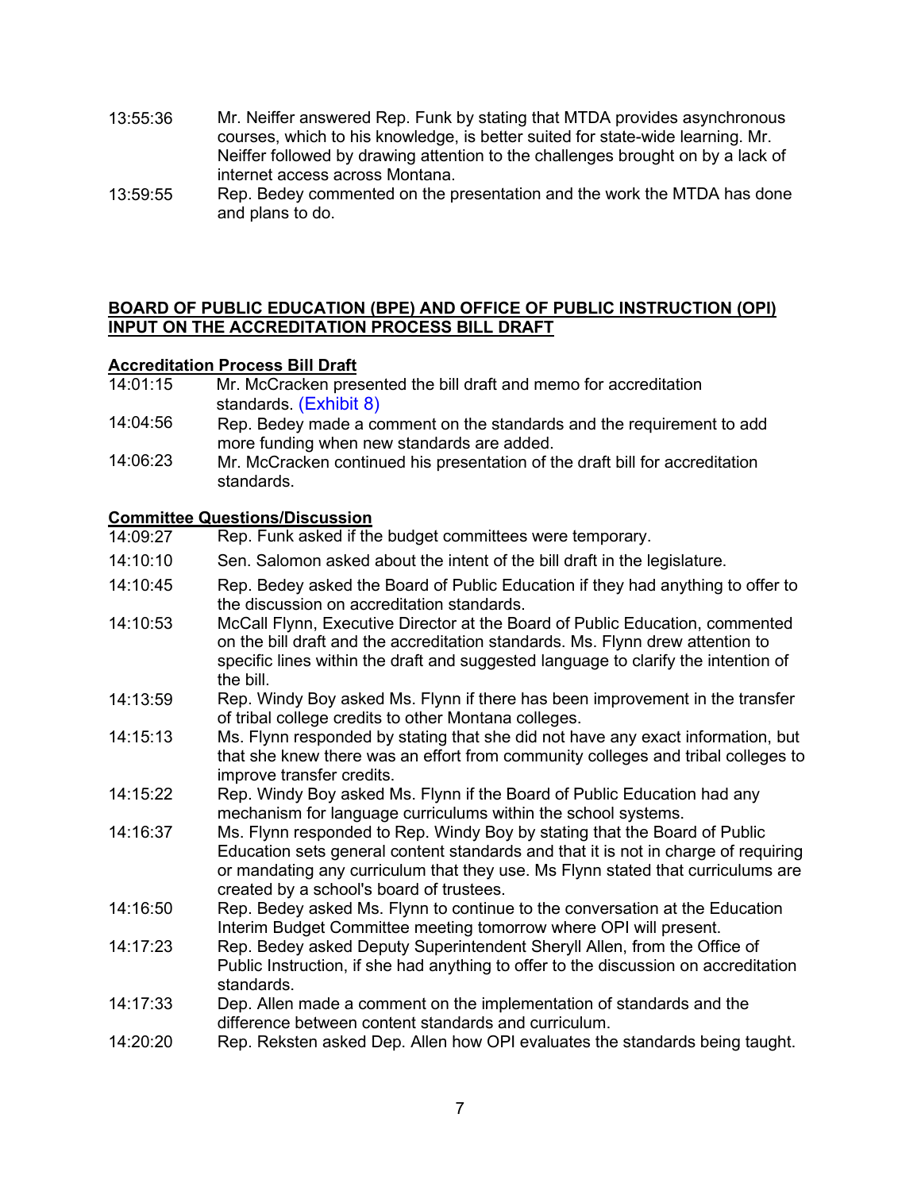- 13:55:36 Mr. Neiffer answered Rep. Funk by stating that MTDA provides asynchronous courses, which to his knowledge, is better suited for state-wide learning. Mr. Neiffer followed by drawing attention to the challenges brought on by a lack of internet access across Montana.
- 13:59:55 Rep. Bedey commented on the presentation and the work the MTDA has done and plans to do.

### **BOARD OF PUBLIC EDUCATION (BPE) AND OFFICE OF PUBLIC INSTRUCTION (OPI) INPUT ON THE ACCREDITATION PROCESS BILL DRAFT**

### **Accreditation Process Bill Draft**

- 14:01:15 Mr. McCracken presented the bill draft and memo for accreditation standards. [\(Exhibit 8\)](https://leg.mt.gov/content/Committees/Interim/2021-2022/Education/Meetings/March-2022/March-accred-standards-memo-draft.pdf)
- 14:04:56 Rep. Bedey made a comment on the standards and the requirement to add more funding when new standards are added.
- 14:06:23 Mr. McCracken continued his presentation of the draft bill for accreditation standards.

### **Committee Questions/Discussion**

| 14:09:27 | Rep. Funk asked if the budget committees were temporary. |  |  |
|----------|----------------------------------------------------------|--|--|
|          |                                                          |  |  |

- 14:10:10 Sen. Salomon asked about the intent of the bill draft in the legislature.
- 14:10:45 Rep. Bedey asked the Board of Public Education if they had anything to offer to the discussion on accreditation standards.
- 14:10:53 McCall Flynn, Executive Director at the Board of Public Education, commented on the bill draft and the accreditation standards. Ms. Flynn drew attention to specific lines within the draft and suggested language to clarify the intention of the bill.
- 14:13:59 Rep. Windy Boy asked Ms. Flynn if there has been improvement in the transfer of tribal college credits to other Montana colleges.
- 14:15:13 Ms. Flynn responded by stating that she did not have any exact information, but that she knew there was an effort from community colleges and tribal colleges to improve transfer credits.
- 14:15:22 Rep. Windy Boy asked Ms. Flynn if the Board of Public Education had any mechanism for language curriculums within the school systems.
- 14:16:37 Ms. Flynn responded to Rep. Windy Boy by stating that the Board of Public Education sets general content standards and that it is not in charge of requiring or mandating any curriculum that they use. Ms Flynn stated that curriculums are created by a school's board of trustees.
- 14:16:50 Rep. Bedey asked Ms. Flynn to continue to the conversation at the Education Interim Budget Committee meeting tomorrow where OPI will present.
- 14:17:23 Rep. Bedey asked Deputy Superintendent Sheryll Allen, from the Office of Public Instruction, if she had anything to offer to the discussion on accreditation standards.
- 14:17:33 Dep. Allen made a comment on the implementation of standards and the difference between content standards and curriculum.
- 14:20:20 Rep. Reksten asked Dep. Allen how OPI evaluates the standards being taught.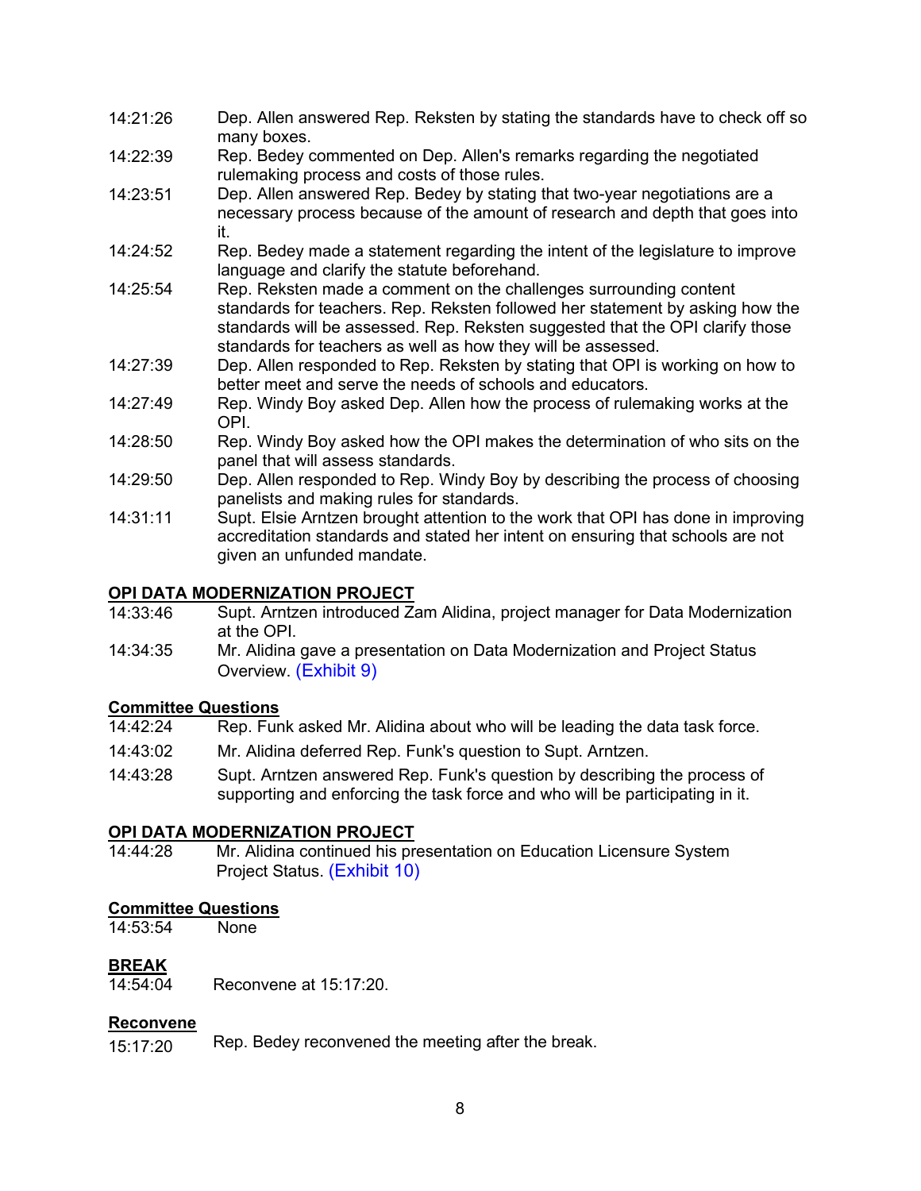- 14:21:26 Dep. Allen answered Rep. Reksten by stating the standards have to check off so many boxes.
- 14:22:39 Rep. Bedey commented on Dep. Allen's remarks regarding the negotiated rulemaking process and costs of those rules.
- 14:23:51 Dep. Allen answered Rep. Bedey by stating that two-year negotiations are a necessary process because of the amount of research and depth that goes into it.
- 14:24:52 Rep. Bedey made a statement regarding the intent of the legislature to improve language and clarify the statute beforehand.
- 14:25:54 Rep. Reksten made a comment on the challenges surrounding content standards for teachers. Rep. Reksten followed her statement by asking how the standards will be assessed. Rep. Reksten suggested that the OPI clarify those standards for teachers as well as how they will be assessed.
- 14:27:39 Dep. Allen responded to Rep. Reksten by stating that OPI is working on how to better meet and serve the needs of schools and educators.
- 14:27:49 Rep. Windy Boy asked Dep. Allen how the process of rulemaking works at the OPI.
- 14:28:50 Rep. Windy Boy asked how the OPI makes the determination of who sits on the panel that will assess standards.
- 14:29:50 Dep. Allen responded to Rep. Windy Boy by describing the process of choosing panelists and making rules for standards.
- 14:31:11 Supt. Elsie Arntzen brought attention to the work that OPI has done in improving accreditation standards and stated her intent on ensuring that schools are not given an unfunded mandate.

### **OPI DATA MODERNIZATION PROJECT**

- 14:33:46 Supt. Arntzen introduced Zam Alidina, project manager for Data Modernization at the OPI.
- 14:34:35 Mr. Alidina gave a presentation on Data Modernization and Project Status Overview. [\(Exhibit 9\)](https://leg.mt.gov/content/Committees/Interim/2021-2022/Education/Meetings/March-2022/OPI-DM-March-2022.pdf)

### **Committee Questions**

- 14:42:24 Rep. Funk asked Mr. Alidina about who will be leading the data task force.
- 14:43:02 Mr. Alidina deferred Rep. Funk's question to Supt. Arntzen.
- 14:43:28 Supt. Arntzen answered Rep. Funk's question by describing the process of supporting and enforcing the task force and who will be participating in it.

### **OPI DATA MODERNIZATION PROJECT**

14:44:28 Mr. Alidina continued his presentation on Education Licensure System Project Status. [\(Exhibit](https://leg.mt.gov/content/Committees/Interim/2021-2022/Education/Meetings/March-2022/Licensure-update.pdf) 10)

# **Committee Questions**<br>14:53:54 None

14:53:54

### **BREAK**

14:54:04 Reconvene at 15:17:20.

### **Reconvene**

15:17:20 Rep. Bedey reconvened the meeting after the break.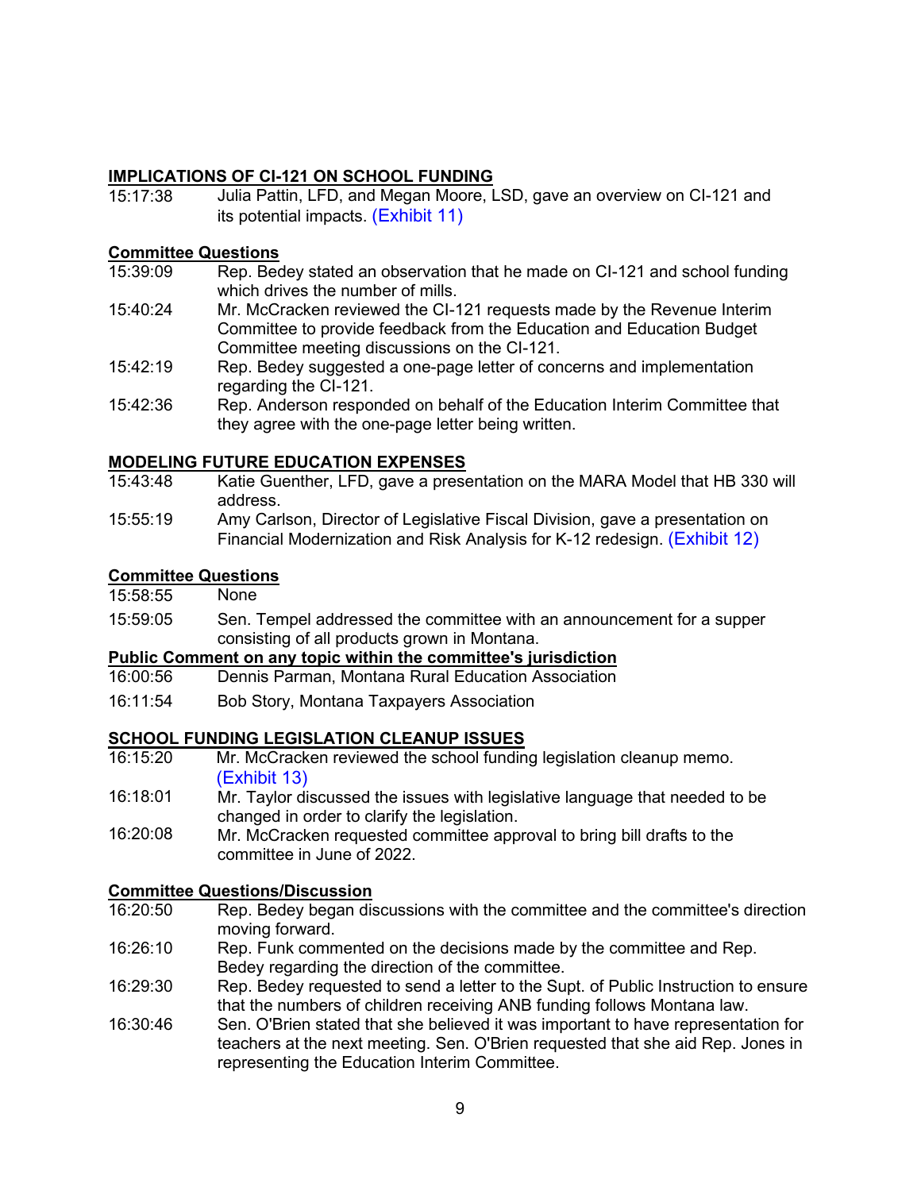### **IMPLICATIONS OF CI-121 ON SCHOOL FUNDING**

15:17:38 Julia Pattin, LFD, and Megan Moore, LSD, gave an overview on CI-121 and its potential impacts. [\(Exhibit 11\)](https://leg.mt.gov/content/Committees/Interim/2021-2022/Education/Meetings/March-2022/CI-121-overview-potential-impacts.pdf) 

# **Committee Questions**<br>15:39:09 Rep. Bec

- Rep. Bedey stated an observation that he made on CI-121 and school funding which drives the number of mills.
- 15:40:24 Mr. McCracken reviewed the CI-121 requests made by the Revenue Interim Committee to provide feedback from the Education and Education Budget Committee meeting discussions on the CI-121.
- 15:42:19 Rep. Bedey suggested a one-page letter of concerns and implementation regarding the CI-121.
- 15:42:36 Rep. Anderson responded on behalf of the Education Interim Committee that they agree with the one-page letter being written.

### **MODELING FUTURE EDUCATION EXPENSES**

- 15:43:48 Katie Guenther, LFD, gave a presentation on the MARA Model that HB 330 will address.
- 15:55:19 Amy Carlson, Director of Legislative Fiscal Division, gave a presentation on Financial Modernization and Risk Analysis for K-12 redesign. [\(Exhibit 12\)](https://leg.mt.gov/content/Committees/Interim/2021-2022/Education/Meetings/March-2022/Exhibit_12_2.pdf)

### **Committee Questions**

| 15:58:55 | None |
|----------|------|
|----------|------|

15:59:05 Sen. Tempel addressed the committee with an announcement for a supper consisting of all products grown in Montana.

# **Public Comment on any topic within the committee's jurisdiction**

- Dennis Parman, Montana Rural Education Association
- 16:11:54 Bob Story, Montana Taxpayers Association

### **SCHOOL FUNDING LEGISLATION CLEANUP ISSUES**

- 16:15:20 Mr. McCracken reviewed the school funding legislation cleanup memo. [\(Exhibit](https://leg.mt.gov/content/Committees/Interim/2021-2022/Education/Meetings/March-2022/School-funding-cleanup-memo-March-2022.pdf) 13)
- 16:18:01 Mr. Taylor discussed the issues with legislative language that needed to be changed in order to clarify the legislation.
- 16:20:08 Mr. McCracken requested committee approval to bring bill drafts to the committee in June of 2022.

### **Committee Questions/Discussion**<br>16:20:50 Rep. Bedev began dis

- Rep. Bedey began discussions with the committee and the committee's direction moving forward.
- 16:26:10 Rep. Funk commented on the decisions made by the committee and Rep. Bedey regarding the direction of the committee.
- 16:29:30 Rep. Bedey requested to send a letter to the Supt. of Public Instruction to ensure that the numbers of children receiving ANB funding follows Montana law.
- 16:30:46 Sen. O'Brien stated that she believed it was important to have representation for teachers at the next meeting. Sen. O'Brien requested that she aid Rep. Jones in representing the Education Interim Committee.